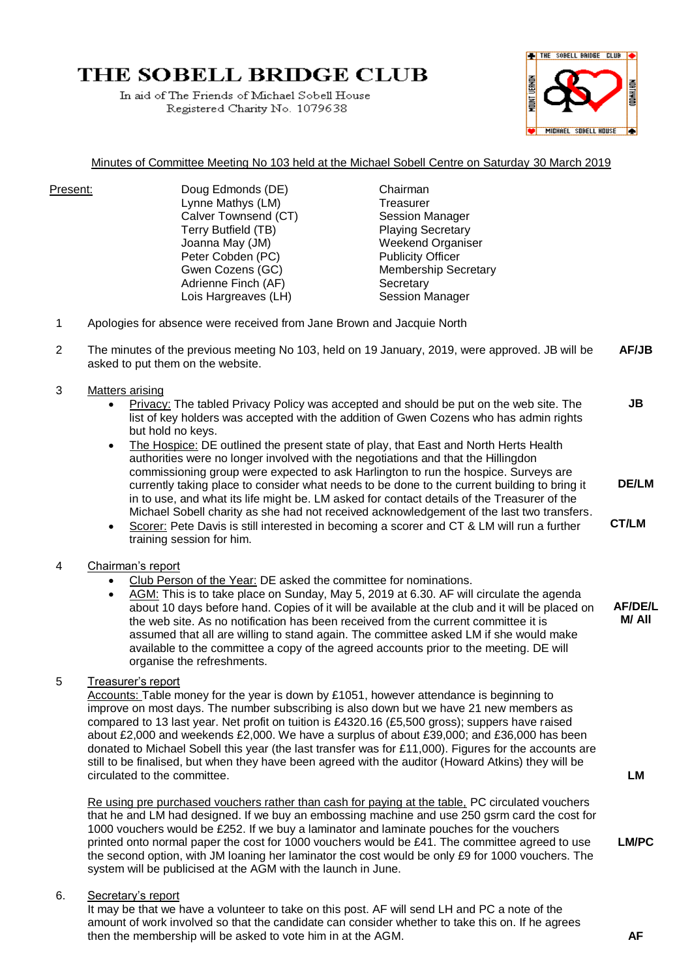# THE SOBELL BRIDGE CLUB

In aid of The Friends of Michael Sobell House Registered Charity No. 1079638



#### Minutes of Committee Meeting No 103 held at the Michael Sobell Centre on Saturday 30 March 2019

Present: Doug Edmonds (DE) Chairman Lynne Mathys (LM) Treasurer Calver Townsend (CT) Session Manager Terry Butfield (TB) Playing Secretary Joanna May (JM) Weekend Organiser Peter Cobden (PC) Publicity Officer Gwen Cozens (GC) Membership Secretary Adrienne Finch (AF) Secretary Lois Hargreaves (LH) Session Manager

- 1 Apologies for absence were received from Jane Brown and Jacquie North
- 2 The minutes of the previous meeting No 103, held on 19 January, 2019, were approved. JB will be asked to put them on the website. **AF/JB**
- 3 Matters arising
	- Privacy: The tabled Privacy Policy was accepted and should be put on the web site. The list of key holders was accepted with the addition of Gwen Cozens who has admin rights but hold no keys. **JB**
	- The Hospice: DE outlined the present state of play, that East and North Herts Health authorities were no longer involved with the negotiations and that the Hillingdon commissioning group were expected to ask Harlington to run the hospice. Surveys are currently taking place to consider what needs to be done to the current building to bring it in to use, and what its life might be. LM asked for contact details of the Treasurer of the Michael Sobell charity as she had not received acknowledgement of the last two transfers.
	- Scorer: Pete Davis is still interested in becoming a scorer and CT & LM will run a further training session for him. **CT/LM**

#### 4 Chairman's report

- Club Person of the Year: DE asked the committee for nominations.
- AGM: This is to take place on Sunday, May 5, 2019 at 6.30. AF will circulate the agenda about 10 days before hand. Copies of it will be available at the club and it will be placed on the web site. As no notification has been received from the current committee it is assumed that all are willing to stand again. The committee asked LM if she would make available to the committee a copy of the agreed accounts prior to the meeting. DE will organise the refreshments.
- 5 Treasurer's report

Accounts: Table money for the year is down by £1051, however attendance is beginning to improve on most days. The number subscribing is also down but we have 21 new members as compared to 13 last year. Net profit on tuition is £4320.16 (£5,500 gross); suppers have raised about £2,000 and weekends £2,000. We have a surplus of about £39,000; and £36,000 has been donated to Michael Sobell this year (the last transfer was for £11,000). Figures for the accounts are still to be finalised, but when they have been agreed with the auditor (Howard Atkins) they will be circulated to the committee.

Re using pre purchased vouchers rather than cash for paying at the table, PC circulated vouchers that he and LM had designed. If we buy an embossing machine and use 250 gsrm card the cost for 1000 vouchers would be £252. If we buy a laminator and laminate pouches for the vouchers printed onto normal paper the cost for 1000 vouchers would be £41. The committee agreed to use the second option, with JM loaning her laminator the cost would be only £9 for 1000 vouchers. The system will be publicised at the AGM with the launch in June.

#### 6. Secretary's report

It may be that we have a volunteer to take on this post. AF will send LH and PC a note of the amount of work involved so that the candidate can consider whether to take this on. If he agrees then the membership will be asked to vote him in at the AGM. **AF**

**LM**

**DE/LM**

**AF/DE/L M/ All**

**LM/PC**